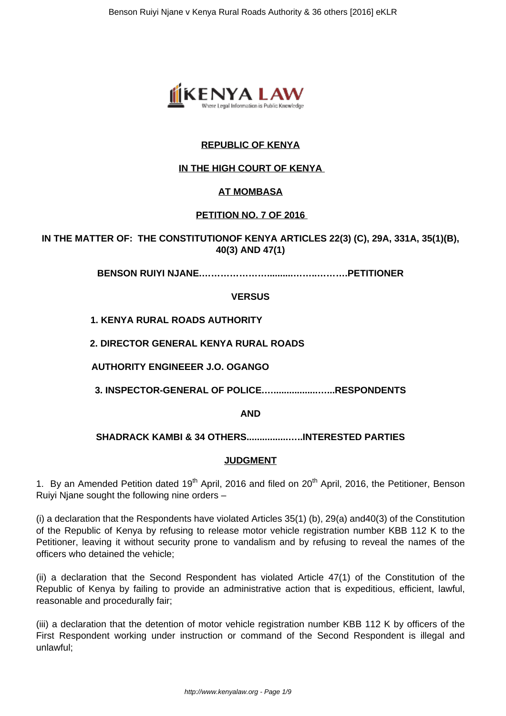

# **REPUBLIC OF KENYA**

# **IN THE HIGH COURT OF KENYA**

# **AT MOMBASA**

# **PETITION NO. 7 OF 2016**

**IN THE MATTER OF: THE CONSTITUTIONOF KENYA ARTICLES 22(3) (C), 29A, 331A, 35(1)(B), 40(3) AND 47(1)**

**BENSON RUIYI NJANE.…………………..........……..……….PETITIONER**

**VERSUS**

# **1. KENYA RURAL ROADS AUTHORITY**

**2. DIRECTOR GENERAL KENYA RURAL ROADS**

**AUTHORITY ENGINEEER J.O. OGANGO**

**3. INSPECTOR-GENERAL OF POLICE.….................…...RESPONDENTS**

**AND**

## **SHADRACK KAMBI & 34 OTHERS................…..INTERESTED PARTIES**

## **JUDGMENT**

1. By an Amended Petition dated 19<sup>th</sup> April, 2016 and filed on 20<sup>th</sup> April, 2016, the Petitioner, Benson Ruiyi Njane sought the following nine orders –

(i) a declaration that the Respondents have violated Articles 35(1) (b), 29(a) and40(3) of the Constitution of the Republic of Kenya by refusing to release motor vehicle registration number KBB 112 K to the Petitioner, leaving it without security prone to vandalism and by refusing to reveal the names of the officers who detained the vehicle;

(ii) a declaration that the Second Respondent has violated Article 47(1) of the Constitution of the Republic of Kenya by failing to provide an administrative action that is expeditious, efficient, lawful, reasonable and procedurally fair;

(iii) a declaration that the detention of motor vehicle registration number KBB 112 K by officers of the First Respondent working under instruction or command of the Second Respondent is illegal and unlawful;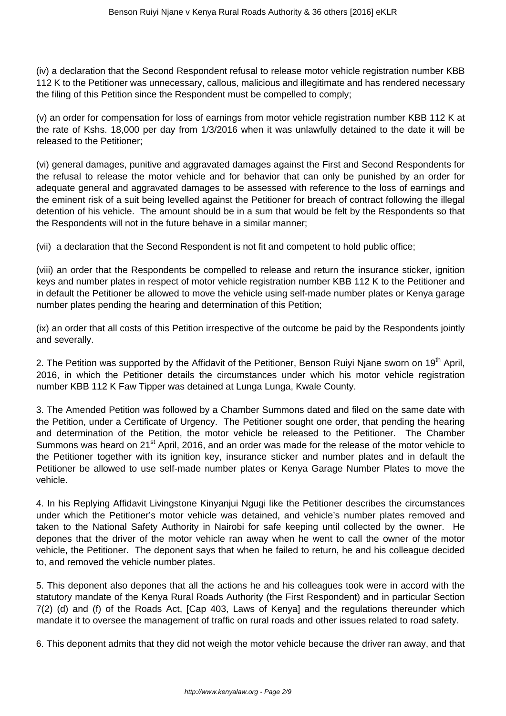(iv) a declaration that the Second Respondent refusal to release motor vehicle registration number KBB 112 K to the Petitioner was unnecessary, callous, malicious and illegitimate and has rendered necessary the filing of this Petition since the Respondent must be compelled to comply;

(v) an order for compensation for loss of earnings from motor vehicle registration number KBB 112 K at the rate of Kshs. 18,000 per day from 1/3/2016 when it was unlawfully detained to the date it will be released to the Petitioner;

(vi) general damages, punitive and aggravated damages against the First and Second Respondents for the refusal to release the motor vehicle and for behavior that can only be punished by an order for adequate general and aggravated damages to be assessed with reference to the loss of earnings and the eminent risk of a suit being levelled against the Petitioner for breach of contract following the illegal detention of his vehicle. The amount should be in a sum that would be felt by the Respondents so that the Respondents will not in the future behave in a similar manner;

(vii) a declaration that the Second Respondent is not fit and competent to hold public office;

(viii) an order that the Respondents be compelled to release and return the insurance sticker, ignition keys and number plates in respect of motor vehicle registration number KBB 112 K to the Petitioner and in default the Petitioner be allowed to move the vehicle using self-made number plates or Kenya garage number plates pending the hearing and determination of this Petition;

(ix) an order that all costs of this Petition irrespective of the outcome be paid by the Respondents jointly and severally.

2. The Petition was supported by the Affidavit of the Petitioner, Benson Ruiyi Njane sworn on 19<sup>th</sup> April, 2016, in which the Petitioner details the circumstances under which his motor vehicle registration number KBB 112 K Faw Tipper was detained at Lunga Lunga, Kwale County.

3. The Amended Petition was followed by a Chamber Summons dated and filed on the same date with the Petition, under a Certificate of Urgency. The Petitioner sought one order, that pending the hearing and determination of the Petition, the motor vehicle be released to the Petitioner. The Chamber Summons was heard on 21<sup>st</sup> April, 2016, and an order was made for the release of the motor vehicle to the Petitioner together with its ignition key, insurance sticker and number plates and in default the Petitioner be allowed to use self-made number plates or Kenya Garage Number Plates to move the vehicle.

4. In his Replying Affidavit Livingstone Kinyanjui Ngugi like the Petitioner describes the circumstances under which the Petitioner's motor vehicle was detained, and vehicle's number plates removed and taken to the National Safety Authority in Nairobi for safe keeping until collected by the owner. He depones that the driver of the motor vehicle ran away when he went to call the owner of the motor vehicle, the Petitioner. The deponent says that when he failed to return, he and his colleague decided to, and removed the vehicle number plates.

5. This deponent also depones that all the actions he and his colleagues took were in accord with the statutory mandate of the Kenya Rural Roads Authority (the First Respondent) and in particular Section 7(2) (d) and (f) of the Roads Act, [Cap 403, Laws of Kenya] and the regulations thereunder which mandate it to oversee the management of traffic on rural roads and other issues related to road safety.

6. This deponent admits that they did not weigh the motor vehicle because the driver ran away, and that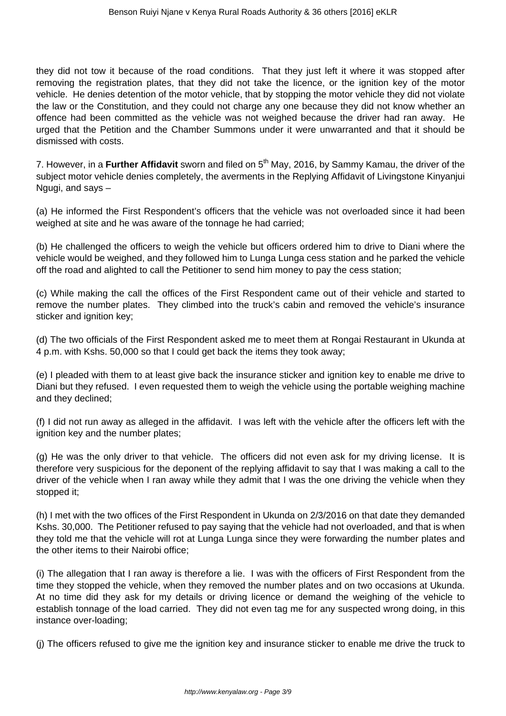they did not tow it because of the road conditions. That they just left it where it was stopped after removing the registration plates, that they did not take the licence, or the ignition key of the motor vehicle. He denies detention of the motor vehicle, that by stopping the motor vehicle they did not violate the law or the Constitution, and they could not charge any one because they did not know whether an offence had been committed as the vehicle was not weighed because the driver had ran away. He urged that the Petition and the Chamber Summons under it were unwarranted and that it should be dismissed with costs.

7. However, in a **Further Affidavit** sworn and filed on 5<sup>th</sup> May, 2016, by Sammy Kamau, the driver of the subject motor vehicle denies completely, the averments in the Replying Affidavit of Livingstone Kinyanjui Ngugi, and says –

(a) He informed the First Respondent's officers that the vehicle was not overloaded since it had been weighed at site and he was aware of the tonnage he had carried;

(b) He challenged the officers to weigh the vehicle but officers ordered him to drive to Diani where the vehicle would be weighed, and they followed him to Lunga Lunga cess station and he parked the vehicle off the road and alighted to call the Petitioner to send him money to pay the cess station;

(c) While making the call the offices of the First Respondent came out of their vehicle and started to remove the number plates. They climbed into the truck's cabin and removed the vehicle's insurance sticker and ignition key;

(d) The two officials of the First Respondent asked me to meet them at Rongai Restaurant in Ukunda at 4 p.m. with Kshs. 50,000 so that I could get back the items they took away;

(e) I pleaded with them to at least give back the insurance sticker and ignition key to enable me drive to Diani but they refused. I even requested them to weigh the vehicle using the portable weighing machine and they declined;

(f) I did not run away as alleged in the affidavit. I was left with the vehicle after the officers left with the ignition key and the number plates;

(g) He was the only driver to that vehicle. The officers did not even ask for my driving license. It is therefore very suspicious for the deponent of the replying affidavit to say that I was making a call to the driver of the vehicle when I ran away while they admit that I was the one driving the vehicle when they stopped it;

(h) I met with the two offices of the First Respondent in Ukunda on 2/3/2016 on that date they demanded Kshs. 30,000. The Petitioner refused to pay saying that the vehicle had not overloaded, and that is when they told me that the vehicle will rot at Lunga Lunga since they were forwarding the number plates and the other items to their Nairobi office;

(i) The allegation that I ran away is therefore a lie. I was with the officers of First Respondent from the time they stopped the vehicle, when they removed the number plates and on two occasions at Ukunda. At no time did they ask for my details or driving licence or demand the weighing of the vehicle to establish tonnage of the load carried. They did not even tag me for any suspected wrong doing, in this instance over-loading;

(j) The officers refused to give me the ignition key and insurance sticker to enable me drive the truck to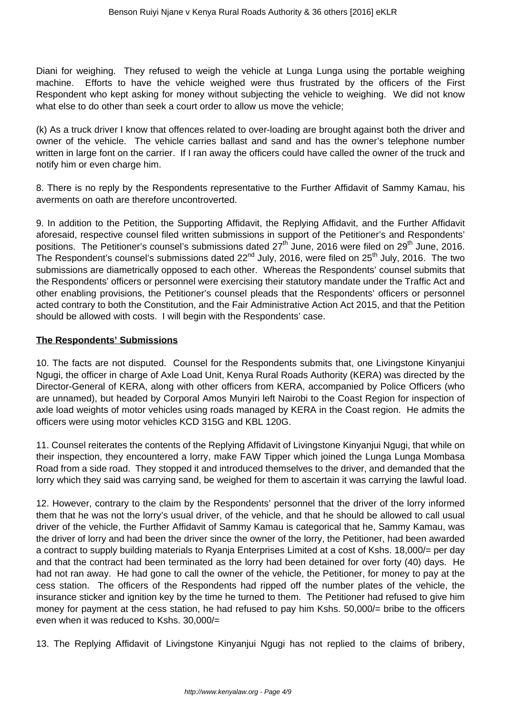Diani for weighing. They refused to weigh the vehicle at Lunga Lunga using the portable weighing machine. Efforts to have the vehicle weighed were thus frustrated by the officers of the First Respondent who kept asking for money without subjecting the vehicle to weighing. We did not know what else to do other than seek a court order to allow us move the vehicle;

(k) As a truck driver I know that offences related to over-loading are brought against both the driver and owner of the vehicle. The vehicle carries ballast and sand and has the owner's telephone number written in large font on the carrier. If I ran away the officers could have called the owner of the truck and notify him or even charge him.

8. There is no reply by the Respondents representative to the Further Affidavit of Sammy Kamau, his averments on oath are therefore uncontroverted.

9. In addition to the Petition, the Supporting Affidavit, the Replying Affidavit, and the Further Affidavit aforesaid, respective counsel filed written submissions in support of the Petitioner's and Respondents' positions. The Petitioner's counsel's submissions dated  $27<sup>th</sup>$  June, 2016 were filed on  $29<sup>th</sup>$  June, 2016. The Respondent's counsel's submissions dated  $22<sup>nd</sup>$  July, 2016, were filed on  $25<sup>th</sup>$  July, 2016. The two submissions are diametrically opposed to each other. Whereas the Respondents' counsel submits that the Respondents' officers or personnel were exercising their statutory mandate under the Traffic Act and other enabling provisions, the Petitioner's counsel pleads that the Respondents' officers or personnel acted contrary to both the Constitution, and the Fair Administrative Action Act 2015, and that the Petition should be allowed with costs. I will begin with the Respondents' case.

# **The Respondents' Submissions**

10. The facts are not disputed. Counsel for the Respondents submits that, one Livingstone Kinyanjui Ngugi, the officer in charge of Axle Load Unit, Kenya Rural Roads Authority (KERA) was directed by the Director-General of KERA, along with other officers from KERA, accompanied by Police Officers (who are unnamed), but headed by Corporal Amos Munyiri left Nairobi to the Coast Region for inspection of axle load weights of motor vehicles using roads managed by KERA in the Coast region. He admits the officers were using motor vehicles KCD 315G and KBL 120G.

11. Counsel reiterates the contents of the Replying Affidavit of Livingstone Kinyanjui Ngugi, that while on their inspection, they encountered a lorry, make FAW Tipper which joined the Lunga Lunga Mombasa Road from a side road. They stopped it and introduced themselves to the driver, and demanded that the lorry which they said was carrying sand, be weighed for them to ascertain it was carrying the lawful load.

12. However, contrary to the claim by the Respondents' personnel that the driver of the lorry informed them that he was not the lorry's usual driver, of the vehicle, and that he should be allowed to call usual driver of the vehicle, the Further Affidavit of Sammy Kamau is categorical that he, Sammy Kamau, was the driver of lorry and had been the driver since the owner of the lorry, the Petitioner, had been awarded a contract to supply building materials to Ryanja Enterprises Limited at a cost of Kshs. 18,000/= per day and that the contract had been terminated as the lorry had been detained for over forty (40) days. He had not ran away. He had gone to call the owner of the vehicle, the Petitioner, for money to pay at the cess station. The officers of the Respondents had ripped off the number plates of the vehicle, the insurance sticker and ignition key by the time he turned to them. The Petitioner had refused to give him money for payment at the cess station, he had refused to pay him Kshs. 50,000/= bribe to the officers even when it was reduced to Kshs. 30,000/=

13. The Replying Affidavit of Livingstone Kinyanjui Ngugi has not replied to the claims of bribery,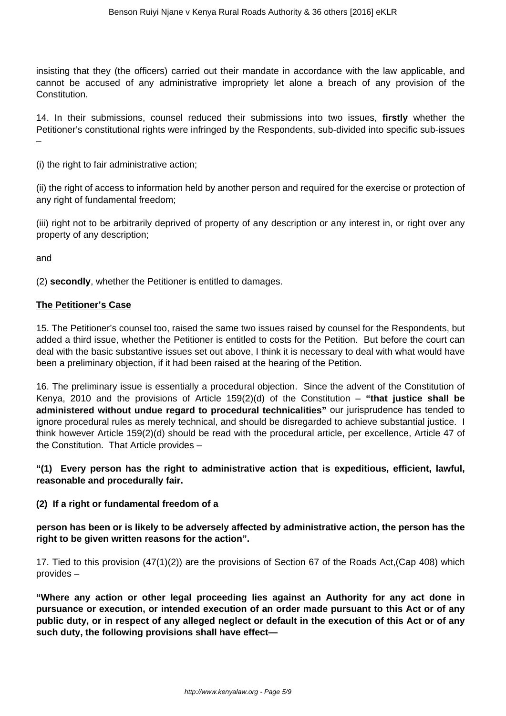insisting that they (the officers) carried out their mandate in accordance with the law applicable, and cannot be accused of any administrative impropriety let alone a breach of any provision of the Constitution.

14. In their submissions, counsel reduced their submissions into two issues, **firstly** whether the Petitioner's constitutional rights were infringed by the Respondents, sub-divided into specific sub-issues –

(i) the right to fair administrative action;

(ii) the right of access to information held by another person and required for the exercise or protection of any right of fundamental freedom;

(iii) right not to be arbitrarily deprived of property of any description or any interest in, or right over any property of any description;

and

(2) **secondly**, whether the Petitioner is entitled to damages.

### **The Petitioner's Case**

15. The Petitioner's counsel too, raised the same two issues raised by counsel for the Respondents, but added a third issue, whether the Petitioner is entitled to costs for the Petition. But before the court can deal with the basic substantive issues set out above, I think it is necessary to deal with what would have been a preliminary objection, if it had been raised at the hearing of the Petition.

16. The preliminary issue is essentially a procedural objection. Since the advent of the Constitution of Kenya, 2010 and the provisions of Article 159(2)(d) of the Constitution – **"that justice shall be administered without undue regard to procedural technicalities"** our jurisprudence has tended to ignore procedural rules as merely technical, and should be disregarded to achieve substantial justice. I think however Article 159(2)(d) should be read with the procedural article, per excellence, Article 47 of the Constitution. That Article provides –

**"(1) Every person has the right to administrative action that is expeditious, efficient, lawful, reasonable and procedurally fair.** 

## **(2) If a right or fundamental freedom of a**

**person has been or is likely to be adversely affected by administrative action, the person has the right to be given written reasons for the action".**

17. Tied to this provision (47(1)(2)) are the provisions of Section 67 of the Roads Act,(Cap 408) which provides –

**"Where any action or other legal proceeding lies against an Authority for any act done in pursuance or execution, or intended execution of an order made pursuant to this Act or of any public duty, or in respect of any alleged neglect or default in the execution of this Act or of any such duty, the following provisions shall have effect—**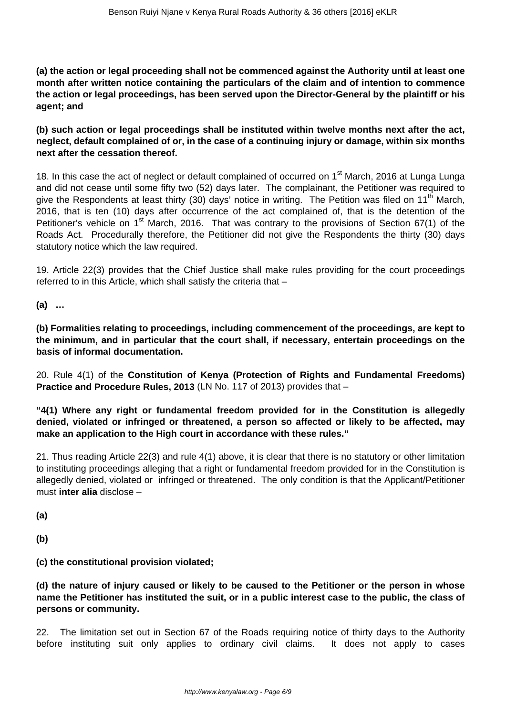**(a) the action or legal proceeding shall not be commenced against the Authority until at least one month after written notice containing the particulars of the claim and of intention to commence the action or legal proceedings, has been served upon the Director-General by the plaintiff or his agent; and** 

**(b) such action or legal proceedings shall be instituted within twelve months next after the act, neglect, default complained of or, in the case of a continuing injury or damage, within six months next after the cessation thereof.**

18. In this case the act of neglect or default complained of occurred on 1<sup>st</sup> March, 2016 at Lunga Lunga and did not cease until some fifty two (52) days later. The complainant, the Petitioner was required to give the Respondents at least thirty (30) days' notice in writing. The Petition was filed on 11<sup>th</sup> March, 2016, that is ten (10) days after occurrence of the act complained of, that is the detention of the Petitioner's vehicle on  $1<sup>st</sup>$  March, 2016. That was contrary to the provisions of Section 67(1) of the Roads Act. Procedurally therefore, the Petitioner did not give the Respondents the thirty (30) days statutory notice which the law required.

19. Article 22(3) provides that the Chief Justice shall make rules providing for the court proceedings referred to in this Article, which shall satisfy the criteria that –

**(a) …**

**(b) Formalities relating to proceedings, including commencement of the proceedings, are kept to the minimum, and in particular that the court shall, if necessary, entertain proceedings on the basis of informal documentation.**

20. Rule 4(1) of the **Constitution of Kenya (Protection of Rights and Fundamental Freedoms) Practice and Procedure Rules, 2013** (LN No. 117 of 2013) provides that –

**"4(1) Where any right or fundamental freedom provided for in the Constitution is allegedly denied, violated or infringed or threatened, a person so affected or likely to be affected, may make an application to the High court in accordance with these rules."**

21. Thus reading Article 22(3) and rule 4(1) above, it is clear that there is no statutory or other limitation to instituting proceedings alleging that a right or fundamental freedom provided for in the Constitution is allegedly denied, violated or infringed or threatened. The only condition is that the Applicant/Petitioner must **inter alia** disclose –

**(a)**

**(b)**

**(c) the constitutional provision violated;**

**(d) the nature of injury caused or likely to be caused to the Petitioner or the person in whose name the Petitioner has instituted the suit, or in a public interest case to the public, the class of persons or community.**

22. The limitation set out in Section 67 of the Roads requiring notice of thirty days to the Authority before instituting suit only applies to ordinary civil claims. It does not apply to cases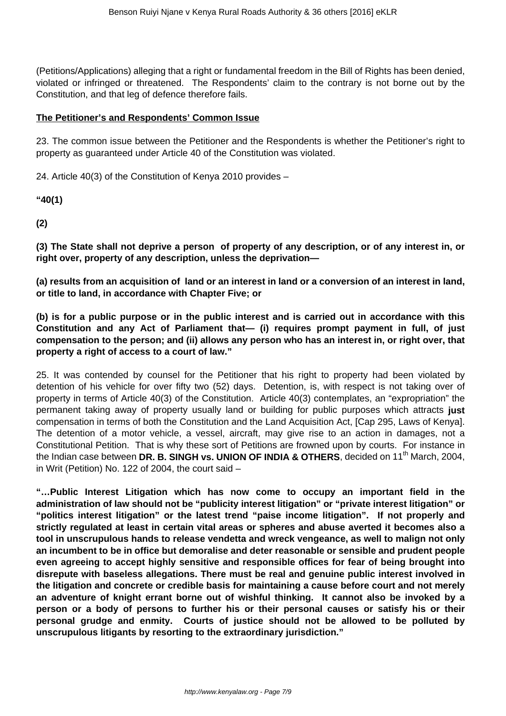(Petitions/Applications) alleging that a right or fundamental freedom in the Bill of Rights has been denied, violated or infringed or threatened. The Respondents' claim to the contrary is not borne out by the Constitution, and that leg of defence therefore fails.

# **The Petitioner's and Respondents' Common Issue**

23. The common issue between the Petitioner and the Respondents is whether the Petitioner's right to property as guaranteed under Article 40 of the Constitution was violated.

24. Article 40(3) of the Constitution of Kenya 2010 provides –

**"40(1)**

**(2)**

**(3) The State shall not deprive a person of property of any description, or of any interest in, or right over, property of any description, unless the deprivation—** 

**(a) results from an acquisition of land or an interest in land or a conversion of an interest in land, or title to land, in accordance with Chapter Five; or** 

**(b) is for a public purpose or in the public interest and is carried out in accordance with this Constitution and any Act of Parliament that— (i) requires prompt payment in full, of just compensation to the person; and (ii) allows any person who has an interest in, or right over, that property a right of access to a court of law."**

25. It was contended by counsel for the Petitioner that his right to property had been violated by detention of his vehicle for over fifty two (52) days. Detention, is, with respect is not taking over of property in terms of Article 40(3) of the Constitution. Article 40(3) contemplates, an "expropriation" the permanent taking away of property usually land or building for public purposes which attracts **just** compensation in terms of both the Constitution and the Land Acquisition Act, [Cap 295, Laws of Kenya]. The detention of a motor vehicle, a vessel, aircraft, may give rise to an action in damages, not a Constitutional Petition. That is why these sort of Petitions are frowned upon by courts. For instance in the Indian case between DR. B. SINGH vs. UNION OF INDIA & OTHERS, decided on 11<sup>th</sup> March, 2004, in Writ (Petition) No. 122 of 2004, the court said –

**"…Public Interest Litigation which has now come to occupy an important field in the administration of law should not be "publicity interest litigation" or "private interest litigation" or "politics interest litigation" or the latest trend "paise income litigation". If not properly and strictly regulated at least in certain vital areas or spheres and abuse averted it becomes also a tool in unscrupulous hands to release vendetta and wreck vengeance, as well to malign not only an incumbent to be in office but demoralise and deter reasonable or sensible and prudent people even agreeing to accept highly sensitive and responsible offices for fear of being brought into disrepute with baseless allegations. There must be real and genuine public interest involved in the litigation and concrete or credible basis for maintaining a cause before court and not merely an adventure of knight errant borne out of wishful thinking. It cannot also be invoked by a person or a body of persons to further his or their personal causes or satisfy his or their personal grudge and enmity. Courts of justice should not be allowed to be polluted by unscrupulous litigants by resorting to the extraordinary jurisdiction."**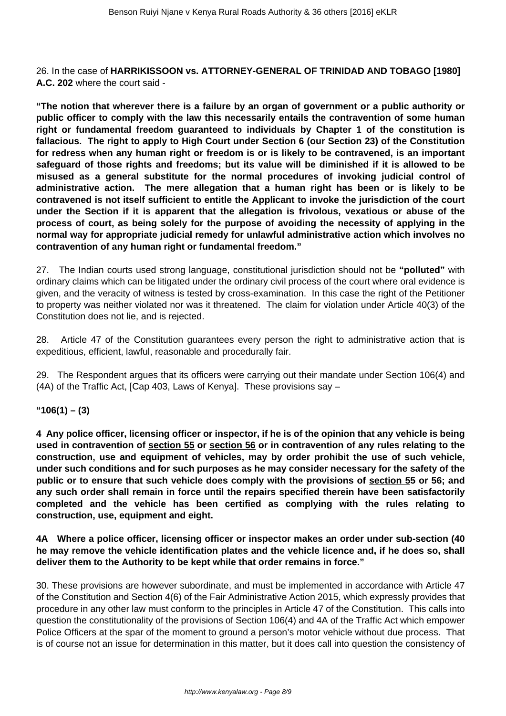26. In the case of **HARRIKISSOON vs. ATTORNEY-GENERAL OF TRINIDAD AND TOBAGO [1980] A.C. 202** where the court said -

**"The notion that wherever there is a failure by an organ of government or a public authority or public officer to comply with the law this necessarily entails the contravention of some human right or fundamental freedom guaranteed to individuals by Chapter 1 of the constitution is fallacious. The right to apply to High Court under Section 6 (our Section 23) of the Constitution for redress when any human right or freedom is or is likely to be contravened, is an important safeguard of those rights and freedoms; but its value will be diminished if it is allowed to be misused as a general substitute for the normal procedures of invoking judicial control of administrative action. The mere allegation that a human right has been or is likely to be contravened is not itself sufficient to entitle the Applicant to invoke the jurisdiction of the court under the Section if it is apparent that the allegation is frivolous, vexatious or abuse of the process of court, as being solely for the purpose of avoiding the necessity of applying in the normal way for appropriate judicial remedy for unlawful administrative action which involves no contravention of any human right or fundamental freedom."**

27. The Indian courts used strong language, constitutional jurisdiction should not be **"polluted"** with ordinary claims which can be litigated under the ordinary civil process of the court where oral evidence is given, and the veracity of witness is tested by cross-examination. In this case the right of the Petitioner to property was neither violated nor was it threatened. The claim for violation under Article 40(3) of the Constitution does not lie, and is rejected.

28. Article 47 of the Constitution guarantees every person the right to administrative action that is expeditious, efficient, lawful, reasonable and procedurally fair.

29. The Respondent argues that its officers were carrying out their mandate under Section 106(4) and (4A) of the Traffic Act, [Cap 403, Laws of Kenya]. These provisions say –

## **"106(1) – (3)**

**4 Any police officer, licensing officer or inspector, if he is of the opinion that any vehicle is being used in contravention of section 55 or section 56 or in contravention of any rules relating to the construction, use and equipment of vehicles, may by order prohibit the use of such vehicle, under such conditions and for such purposes as he may consider necessary for the safety of the public or to ensure that such vehicle does comply with the provisions of section 55 or 56; and any such order shall remain in force until the repairs specified therein have been satisfactorily completed and the vehicle has been certified as complying with the rules relating to construction, use, equipment and eight.**

**4A Where a police officer, licensing officer or inspector makes an order under sub-section (40 he may remove the vehicle identification plates and the vehicle licence and, if he does so, shall deliver them to the Authority to be kept while that order remains in force."**

30. These provisions are however subordinate, and must be implemented in accordance with Article 47 of the Constitution and Section 4(6) of the Fair Administrative Action 2015, which expressly provides that procedure in any other law must conform to the principles in Article 47 of the Constitution. This calls into question the constitutionality of the provisions of Section 106(4) and 4A of the Traffic Act which empower Police Officers at the spar of the moment to ground a person's motor vehicle without due process. That is of course not an issue for determination in this matter, but it does call into question the consistency of